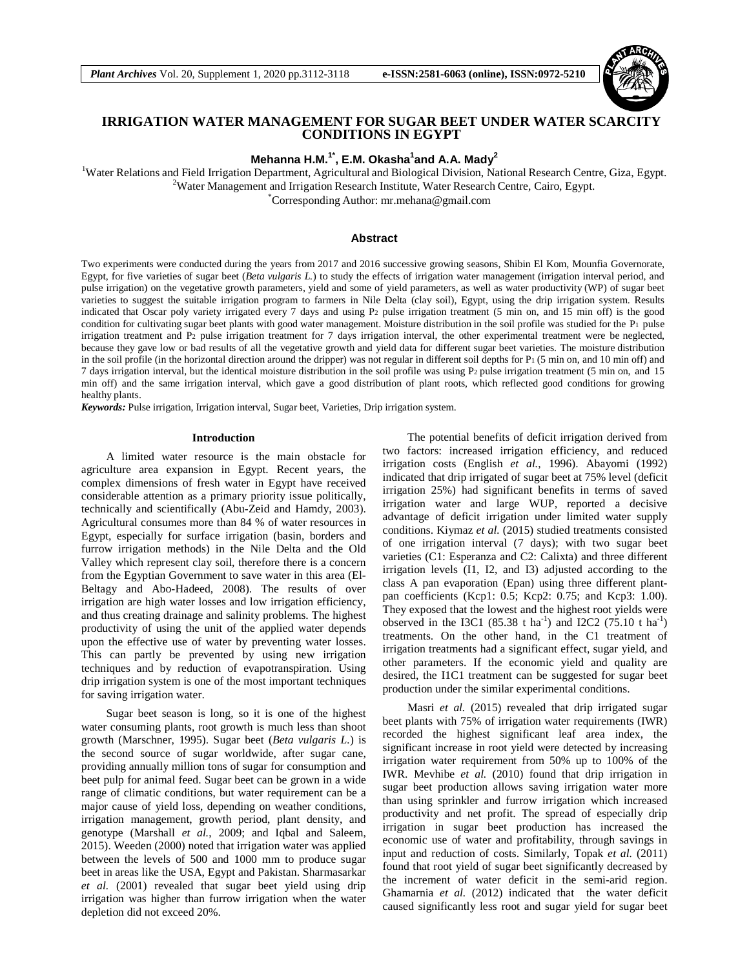

# **IRRIGATION WATER MANAGEMENT FOR SUGAR BEET UNDER WATER SCARCITY CONDITIONS IN EGYPT**

**Mehanna H.M.1\*, E.M. Okasha<sup>1</sup> and A.A. Mady<sup>2</sup>**

<sup>1</sup>Water Relations and Field Irrigation Department, Agricultural and Biological Division, National Research Centre, Giza, Egypt. <sup>2</sup>Water Management and Irrigation Research Institute, Water Research Centre, Cairo, Egypt.

\*Corresponding Author: mr.mehana@gmail.com

#### **Abstract**

Two experiments were conducted during the years from 2017 and 2016 successive growing seasons, Shibin El Kom, Mounfia Governorate, Egypt, for five varieties of sugar beet (*Beta vulgaris L.*) to study the effects of irrigation water management (irrigation interval period, and pulse irrigation) on the vegetative growth parameters, yield and some of yield parameters, as well as water productivity (WP) of sugar beet varieties to suggest the suitable irrigation program to farmers in Nile Delta (clay soil), Egypt, using the drip irrigation system. Results indicated that Oscar poly variety irrigated every 7 days and using P<sup>2</sup> pulse irrigation treatment (5 min on, and 15 min off) is the good condition for cultivating sugar beet plants with good water management. Moisture distribution in the soil profile was studied for the P<sub>1</sub> pulse irrigation treatment and P2 pulse irrigation treatment for 7 days irrigation interval, the other experimental treatment were be neglected, because they gave low or bad results of all the vegetative growth and yield data for different sugar beet varieties. The moisture distribution in the soil profile (in the horizontal direction around the dripper) was not regular in different soil depths for P<sub>1</sub> (5 min on, and 10 min off) and 7 days irrigation interval, but the identical moisture distribution in the soil profile was using P2 pulse irrigation treatment (5 min on, and 15 min off) and the same irrigation interval, which gave a good distribution of plant roots, which reflected good conditions for growing healthy plants.

*Keywords:* Pulse irrigation, Irrigation interval, Sugar beet, Varieties, Drip irrigation system.

#### **Introduction**

A limited water resource is the main obstacle for agriculture area expansion in Egypt. Recent years, the complex dimensions of fresh water in Egypt have received considerable attention as a primary priority issue politically, technically and scientifically (Abu-Zeid and Hamdy, 2003). Agricultural consumes more than 84 % of water resources in Egypt, especially for surface irrigation (basin, borders and furrow irrigation methods) in the Nile Delta and the Old Valley which represent clay soil, therefore there is a concern from the Egyptian Government to save water in this area (El-Beltagy and Abo-Hadeed, 2008). The results of over irrigation are high water losses and low irrigation efficiency, and thus creating drainage and salinity problems. The highest productivity of using the unit of the applied water depends upon the effective use of water by preventing water losses. This can partly be prevented by using new irrigation techniques and by reduction of evapotranspiration. Using drip irrigation system is one of the most important techniques for saving irrigation water.

Sugar beet season is long, so it is one of the highest water consuming plants, root growth is much less than shoot growth (Marschner, 1995). Sugar beet (*Beta vulgaris L.*) is the second source of sugar worldwide, after sugar cane, providing annually million tons of sugar for consumption and beet pulp for animal feed. Sugar beet can be grown in a wide range of climatic conditions, but water requirement can be a major cause of yield loss, depending on weather conditions, irrigation management, growth period, plant density, and genotype (Marshall *et al.*, 2009; and Iqbal and Saleem, 2015). Weeden (2000) noted that irrigation water was applied between the levels of 500 and 1000 mm to produce sugar beet in areas like the USA, Egypt and Pakistan. Sharmasarkar *et al.* (2001) revealed that sugar beet yield using drip irrigation was higher than furrow irrigation when the water depletion did not exceed 20%.

The potential benefits of deficit irrigation derived from two factors: increased irrigation efficiency, and reduced irrigation costs (English *et al.*, 1996). Abayomi (1992) indicated that drip irrigated of sugar beet at 75% level (deficit irrigation 25%) had significant benefits in terms of saved irrigation water and large WUP, reported a decisive advantage of deficit irrigation under limited water supply conditions. Kiymaz *et al.* (2015) studied treatments consisted of one irrigation interval (7 days); with two sugar beet varieties (C1: Esperanza and C2: Calixta) and three different irrigation levels (I1, I2, and I3) adjusted according to the class A pan evaporation (Epan) using three different plantpan coefficients (Kcp1: 0.5; Kcp2: 0.75; and Kcp3: 1.00). They exposed that the lowest and the highest root yields were observed in the I3C1 (85.38 t ha<sup>-1</sup>) and I2C2 (75.10 t ha<sup>-1</sup>) treatments. On the other hand, in the C1 treatment of irrigation treatments had a significant effect, sugar yield, and other parameters. If the economic yield and quality are desired, the I1C1 treatment can be suggested for sugar beet production under the similar experimental conditions.

Masri *et al.* (2015) revealed that drip irrigated sugar beet plants with 75% of irrigation water requirements (IWR) recorded the highest significant leaf area index, the significant increase in root yield were detected by increasing irrigation water requirement from 50% up to 100% of the IWR. Mevhibe *et al.* (2010) found that drip irrigation in sugar beet production allows saving irrigation water more than using sprinkler and furrow irrigation which increased productivity and net profit. The spread of especially drip irrigation in sugar beet production has increased the economic use of water and profitability, through savings in input and reduction of costs. Similarly, Topak *et al.* (2011) found that root yield of sugar beet significantly decreased by the increment of water deficit in the semi-arid region. Ghamarnia *et al.* (2012) indicated that the water deficit caused significantly less root and sugar yield for sugar beet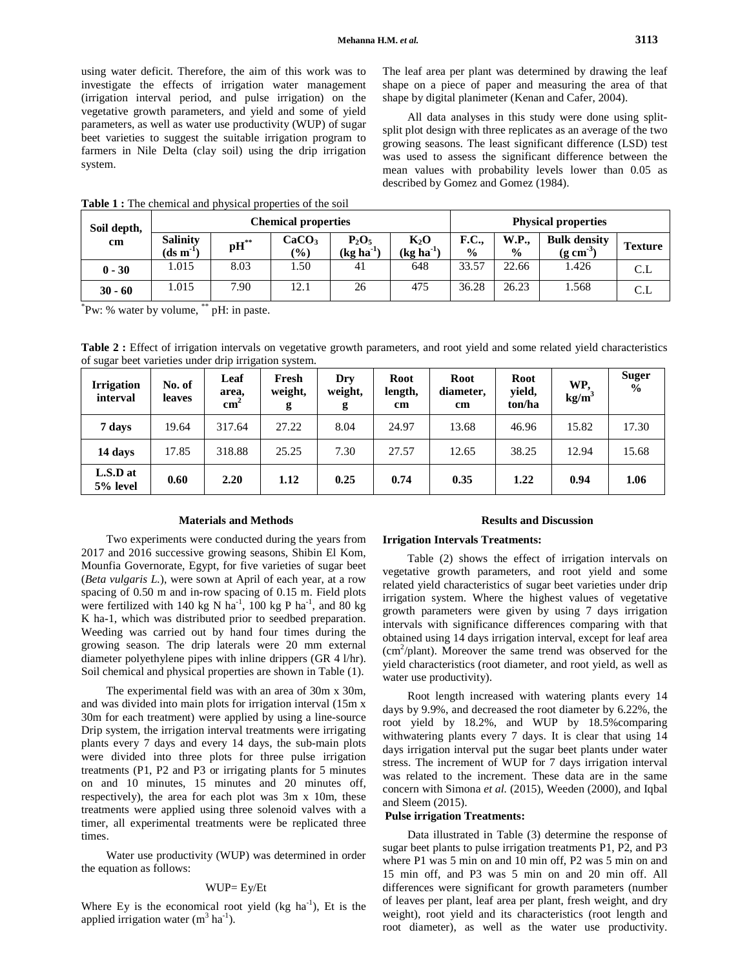using water deficit. Therefore, the aim of this work was to investigate the effects of irrigation water management (irrigation interval period, and pulse irrigation) on the vegetative growth parameters, and yield and some of yield parameters, as well as water use productivity (WUP) of sugar beet varieties to suggest the suitable irrigation program to farmers in Nile Delta (clay soil) using the drip irrigation system.

The leaf area per plant was determined by drawing the leaf shape on a piece of paper and measuring the area of that shape by digital planimeter (Kenan and Cafer, 2004).

All data analyses in this study were done using splitsplit plot design with three replicates as an average of the two growing seasons. The least significant difference (LSD) test was used to assess the significant difference between the mean values with probability levels lower than 0.05 as described by Gomez and Gomez (1984).

|  | Soil depth, |                                                    |                    | <b>Chemical properties</b> |                            |                                 | <b>Physical properties</b> |                               |                                              |                |  |
|--|-------------|----------------------------------------------------|--------------------|----------------------------|----------------------------|---------------------------------|----------------------------|-------------------------------|----------------------------------------------|----------------|--|
|  | cm          | <b>Salinity</b><br>$(d\mathbf{s} \mathbf{m}^{-1})$ | $\mathbf{pH}^{**}$ | CaCO <sub>3</sub><br>(%)   | $P_2O_5$<br>$(kg ha^{-1})$ | $K_2O$<br>$(\text{kg ha}^{-1})$ | F.C.,<br>$\frac{6}{6}$     | <b>W.P.,</b><br>$\frac{6}{9}$ | <b>Bulk density</b><br>$(g \text{ cm}^{-3})$ | <b>Texture</b> |  |
|  | $0 - 30$    | 1.015                                              | 8.03               | 1.50                       | 41                         | 648                             | 33.57                      | 22.66                         | 1.426                                        | C.L            |  |
|  | $30 - 60$   | 1.015                                              | 7.90               | 12.1                       | 26                         | 475                             | 36.28                      | 26.23                         | 1.568                                        |                |  |

**Table 1 :** The chemical and physical properties of the soil

\* Pw: % water by volume, \*\* pH: in paste.

Table 2 : Effect of irrigation intervals on vegetative growth parameters, and root yield and some related yield characteristics of sugar beet varieties under drip irrigation system.

| <b>Irrigation</b><br>interval | No. of<br><b>leaves</b> | Leaf<br>area,<br>$\mathbf{cm}^2$ | Fresh<br>weight,<br>g | Drv<br>weight,<br>g | <b>Root</b><br>length,<br>cm | <b>Root</b><br>diameter,<br>cm | Root<br>yield,<br>ton/ha | WP.<br>$kg/m^3$ | <b>Suger</b><br>$\frac{0}{0}$ |
|-------------------------------|-------------------------|----------------------------------|-----------------------|---------------------|------------------------------|--------------------------------|--------------------------|-----------------|-------------------------------|
| 7 days                        | 19.64                   | 317.64                           | 27.22                 | 8.04                | 24.97                        | 13.68                          | 46.96                    | 15.82           | 17.30                         |
| 14 days                       | 17.85                   | 318.88                           | 25.25                 | 7.30                | 27.57                        | 12.65                          | 38.25                    | 12.94           | 15.68                         |
| L.S.D at<br>5% level          | 0.60                    | 2.20                             | 1.12                  | 0.25                | 0.74                         | 0.35                           | 1.22                     | 0.94            | 1.06                          |

#### **Materials and Methods**

Two experiments were conducted during the years from 2017 and 2016 successive growing seasons, Shibin El Kom, Mounfia Governorate, Egypt, for five varieties of sugar beet (*Beta vulgaris L.*), were sown at April of each year, at a row spacing of 0.50 m and in-row spacing of 0.15 m. Field plots were fertilized with 140 kg N ha<sup>-1</sup>, 100 kg P ha<sup>-1</sup>, and 80 kg K ha-1, which was distributed prior to seedbed preparation. Weeding was carried out by hand four times during the growing season. The drip laterals were 20 mm external diameter polyethylene pipes with inline drippers (GR 4 l/hr). Soil chemical and physical properties are shown in Table (1).

The experimental field was with an area of 30m x 30m, and was divided into main plots for irrigation interval (15m x 30m for each treatment) were applied by using a line-source Drip system, the irrigation interval treatments were irrigating plants every 7 days and every 14 days, the sub-main plots were divided into three plots for three pulse irrigation treatments (P1, P2 and P3 or irrigating plants for 5 minutes on and 10 minutes, 15 minutes and 20 minutes off, respectively), the area for each plot was 3m x 10m, these treatments were applied using three solenoid valves with a timer, all experimental treatments were be replicated three times.

Water use productivity (WUP) was determined in order the equation as follows:

### WUP= Ey/Et

Where Ey is the economical root yield  $(kg ha<sup>-1</sup>)$ , Et is the applied irrigation water  $(m^3 \text{ ha}^{-1})$ .

### **Results and Discussion**

### **Irrigation Intervals Treatments:**

Table (2) shows the effect of irrigation intervals on vegetative growth parameters, and root yield and some related yield characteristics of sugar beet varieties under drip irrigation system. Where the highest values of vegetative growth parameters were given by using 7 days irrigation intervals with significance differences comparing with that obtained using 14 days irrigation interval, except for leaf area (cm<sup>2</sup> /plant). Moreover the same trend was observed for the yield characteristics (root diameter, and root yield, as well as water use productivity).

Root length increased with watering plants every 14 days by 9.9%, and decreased the root diameter by 6.22%, the root yield by 18.2%, and WUP by 18.5%comparing withwatering plants every 7 days. It is clear that using 14 days irrigation interval put the sugar beet plants under water stress. The increment of WUP for 7 days irrigation interval was related to the increment. These data are in the same concern with Simona *et al.* (2015), Weeden (2000), and Iqbal and Sleem (2015).

#### **Pulse irrigation Treatments:**

Data illustrated in Table (3) determine the response of sugar beet plants to pulse irrigation treatments P1, P2, and P3 where P1 was 5 min on and 10 min off, P2 was 5 min on and 15 min off, and P3 was 5 min on and 20 min off. All differences were significant for growth parameters (number of leaves per plant, leaf area per plant, fresh weight, and dry weight), root yield and its characteristics (root length and root diameter), as well as the water use productivity.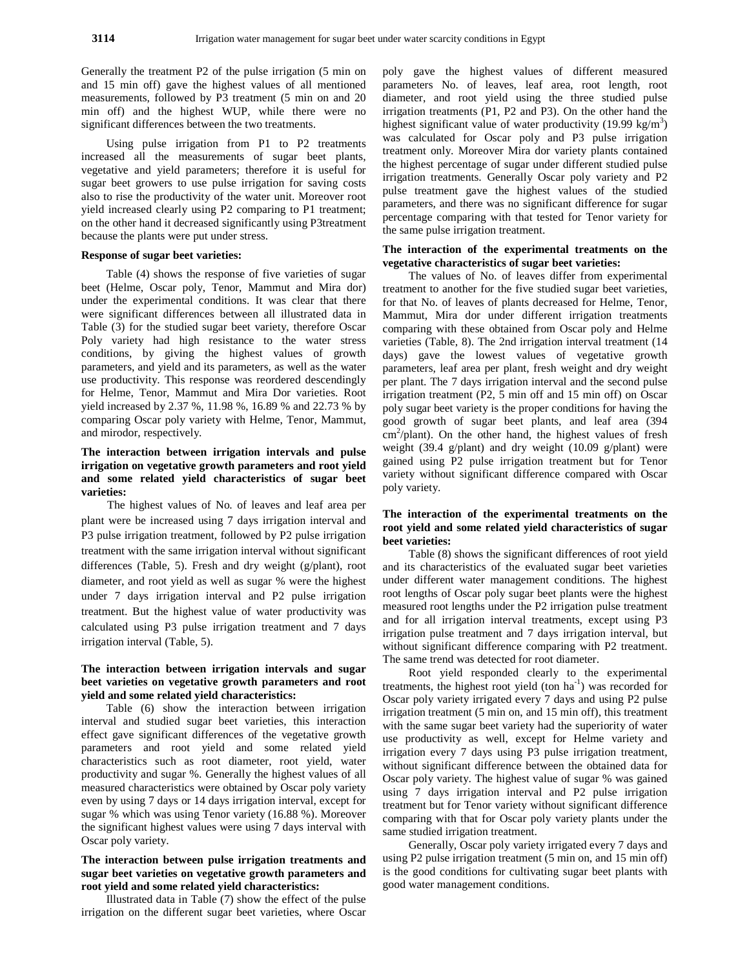Generally the treatment P2 of the pulse irrigation (5 min on and 15 min off) gave the highest values of all mentioned measurements, followed by P3 treatment (5 min on and 20 min off) and the highest WUP, while there were no significant differences between the two treatments.

Using pulse irrigation from P1 to P2 treatments increased all the measurements of sugar beet plants, vegetative and yield parameters; therefore it is useful for sugar beet growers to use pulse irrigation for saving costs also to rise the productivity of the water unit. Moreover root yield increased clearly using P2 comparing to P1 treatment; on the other hand it decreased significantly using P3treatment because the plants were put under stress.

### **Response of sugar beet varieties:**

Table (4) shows the response of five varieties of sugar beet (Helme, Oscar poly, Tenor, Mammut and Mira dor) under the experimental conditions. It was clear that there were significant differences between all illustrated data in Table (3) for the studied sugar beet variety, therefore Oscar Poly variety had high resistance to the water stress conditions, by giving the highest values of growth parameters, and yield and its parameters, as well as the water use productivity. This response was reordered descendingly for Helme, Tenor, Mammut and Mira Dor varieties. Root yield increased by 2.37 %, 11.98 %, 16.89 % and 22.73 % by comparing Oscar poly variety with Helme, Tenor, Mammut, and mirodor, respectively.

# **The interaction between irrigation intervals and pulse irrigation on vegetative growth parameters and root yield and some related yield characteristics of sugar beet varieties:**

The highest values of No. of leaves and leaf area per plant were be increased using 7 days irrigation interval and P3 pulse irrigation treatment, followed by P2 pulse irrigation treatment with the same irrigation interval without significant differences (Table, 5). Fresh and dry weight (g/plant), root diameter, and root yield as well as sugar % were the highest under 7 days irrigation interval and P2 pulse irrigation treatment. But the highest value of water productivity was calculated using P3 pulse irrigation treatment and 7 days irrigation interval (Table, 5).

# **The interaction between irrigation intervals and sugar beet varieties on vegetative growth parameters and root yield and some related yield characteristics:**

Table (6) show the interaction between irrigation interval and studied sugar beet varieties, this interaction effect gave significant differences of the vegetative growth parameters and root yield and some related yield characteristics such as root diameter, root yield, water productivity and sugar %. Generally the highest values of all measured characteristics were obtained by Oscar poly variety even by using 7 days or 14 days irrigation interval, except for sugar % which was using Tenor variety (16.88 %). Moreover the significant highest values were using 7 days interval with Oscar poly variety.

## **The interaction between pulse irrigation treatments and sugar beet varieties on vegetative growth parameters and root yield and some related yield characteristics:**

Illustrated data in Table (7) show the effect of the pulse irrigation on the different sugar beet varieties, where Oscar poly gave the highest values of different measured parameters No. of leaves, leaf area, root length, root diameter, and root yield using the three studied pulse irrigation treatments (P1, P2 and P3). On the other hand the highest significant value of water productivity (19.99 kg/m<sup>3</sup>) was calculated for Oscar poly and P3 pulse irrigation treatment only. Moreover Mira dor variety plants contained the highest percentage of sugar under different studied pulse irrigation treatments. Generally Oscar poly variety and P2 pulse treatment gave the highest values of the studied parameters, and there was no significant difference for sugar percentage comparing with that tested for Tenor variety for the same pulse irrigation treatment.

### **The interaction of the experimental treatments on the vegetative characteristics of sugar beet varieties:**

The values of No. of leaves differ from experimental treatment to another for the five studied sugar beet varieties, for that No. of leaves of plants decreased for Helme, Tenor, Mammut, Mira dor under different irrigation treatments comparing with these obtained from Oscar poly and Helme varieties (Table, 8). The 2nd irrigation interval treatment (14 days) gave the lowest values of vegetative growth parameters, leaf area per plant, fresh weight and dry weight per plant. The 7 days irrigation interval and the second pulse irrigation treatment (P2, 5 min off and 15 min off) on Oscar poly sugar beet variety is the proper conditions for having the good growth of sugar beet plants, and leaf area (394 cm<sup>2</sup>/plant). On the other hand, the highest values of fresh weight (39.4 g/plant) and dry weight (10.09 g/plant) were gained using P2 pulse irrigation treatment but for Tenor variety without significant difference compared with Oscar poly variety.

# **The interaction of the experimental treatments on the root yield and some related yield characteristics of sugar beet varieties:**

Table (8) shows the significant differences of root yield and its characteristics of the evaluated sugar beet varieties under different water management conditions. The highest root lengths of Oscar poly sugar beet plants were the highest measured root lengths under the P2 irrigation pulse treatment and for all irrigation interval treatments, except using P3 irrigation pulse treatment and 7 days irrigation interval, but without significant difference comparing with P2 treatment. The same trend was detected for root diameter.

Root yield responded clearly to the experimental treatments, the highest root yield (ton  $ha^{-1}$ ) was recorded for Oscar poly variety irrigated every 7 days and using P2 pulse irrigation treatment (5 min on, and 15 min off), this treatment with the same sugar beet variety had the superiority of water use productivity as well, except for Helme variety and irrigation every 7 days using P3 pulse irrigation treatment, without significant difference between the obtained data for Oscar poly variety. The highest value of sugar % was gained using 7 days irrigation interval and P2 pulse irrigation treatment but for Tenor variety without significant difference comparing with that for Oscar poly variety plants under the same studied irrigation treatment.

Generally, Oscar poly variety irrigated every 7 days and using P2 pulse irrigation treatment (5 min on, and 15 min off) is the good conditions for cultivating sugar beet plants with good water management conditions.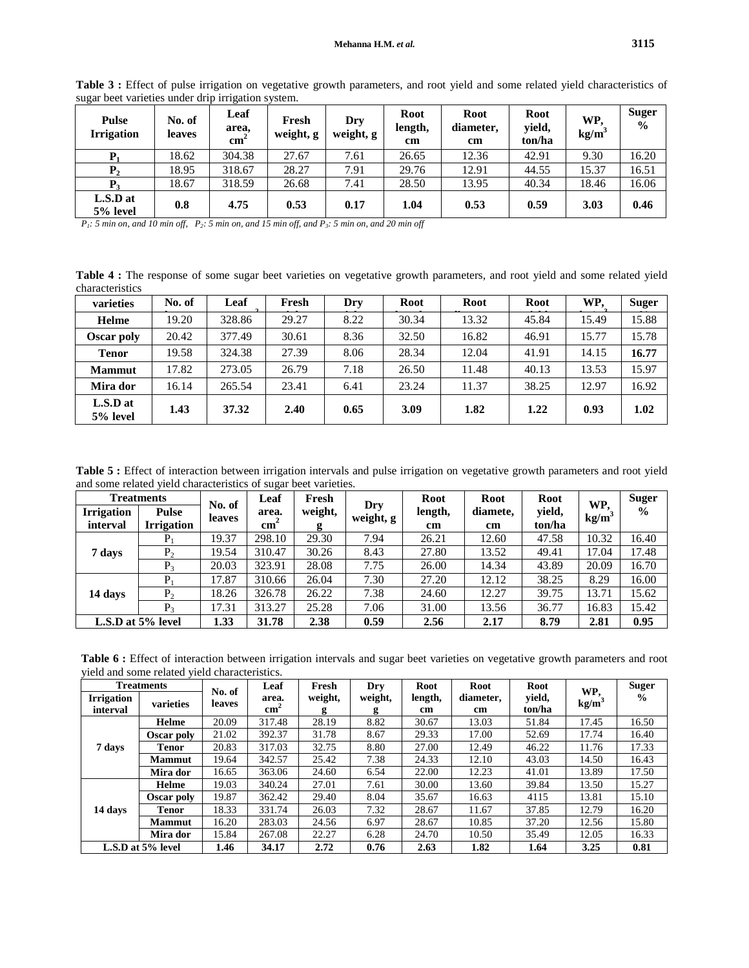| <b>Pulse</b><br><b>Irrigation</b> | No. of<br><b>leaves</b> | $\sim$<br>Leaf<br>area,<br>$\mathbf{cm}^2$ | Fresh<br>weight, g | Dry<br>weight, g | <b>Root</b><br>length,<br>cm | Root<br>diameter,<br>cm | Root<br>yield,<br>ton/ha | WP.<br>kg/m <sup>3</sup> | <b>Suger</b><br>$\frac{6}{6}$ |
|-----------------------------------|-------------------------|--------------------------------------------|--------------------|------------------|------------------------------|-------------------------|--------------------------|--------------------------|-------------------------------|
| ${\bf P}_1$                       | 18.62                   | 304.38                                     | 27.67              | 7.61             | 26.65                        | 12.36                   | 42.91                    | 9.30                     | 16.20                         |
| ${\bf P}_{2}$                     | 18.95                   | 318.67                                     | 28.27              | 7.91             | 29.76                        | 12.91                   | 44.55                    | 15.37                    | 16.51                         |
| $P_3$                             | 18.67                   | 318.59                                     | 26.68              | 7.41             | 28.50                        | 13.95                   | 40.34                    | 18.46                    | 16.06                         |
| L.S.D at<br>5% level              | 0.8                     | 4.75                                       | 0.53               | 0.17             | 1.04                         | 0.53                    | 0.59                     | 3.03                     | 0.46                          |

**Table 3 :** Effect of pulse irrigation on vegetative growth parameters, and root yield and some related yield characteristics of sugar beet varieties under drip irrigation system.

*P1: 5 min on, and 10 min off, P2: 5 min on, and 15 min off, and P3: 5 min on, and 20 min off* 

**Table 4 :** The response of some sugar beet varieties on vegetative growth parameters, and root yield and some related yield characteristics

| varieties            | No. of | Leaf   | Fresh | Dry  | Root  | Root  | Root  | WP,   | <b>Suger</b> |
|----------------------|--------|--------|-------|------|-------|-------|-------|-------|--------------|
| Helme                | 19.20  | 328.86 | 29.27 | 8.22 | 30.34 | 13.32 | 45.84 | 15.49 | 15.88        |
| Oscar poly           | 20.42  | 377.49 | 30.61 | 8.36 | 32.50 | 16.82 | 46.91 | 15.77 | 15.78        |
| <b>Tenor</b>         | 19.58  | 324.38 | 27.39 | 8.06 | 28.34 | 12.04 | 41.91 | 14.15 | 16.77        |
| <b>Mammut</b>        | 17.82  | 273.05 | 26.79 | 7.18 | 26.50 | 11.48 | 40.13 | 13.53 | 15.97        |
| Mira dor             | 16.14  | 265.54 | 23.41 | 6.41 | 23.24 | 11.37 | 38.25 | 12.97 | 16.92        |
| L.S.D at<br>5% level | 1.43   | 37.32  | 2.40  | 0.65 | 3.09  | 1.82  | 1.22  | 0.93  | 1.02         |

**Table 5 :** Effect of interaction between irrigation intervals and pulse irrigation on vegetative growth parameters and root yield and some related yield characteristics of sugar beet varieties.

| <b>Treatments</b><br><b>Irrigation</b><br><b>Pulse</b><br><b>Irrigation</b><br>interval |         | No. of | Leaf                     | Fresh      |                  | <b>Root</b>              | Root           | <b>Root</b>      | WP.   | <b>Suger</b>  |
|-----------------------------------------------------------------------------------------|---------|--------|--------------------------|------------|------------------|--------------------------|----------------|------------------|-------|---------------|
|                                                                                         |         | leaves | area.<br>$\mathbf{cm}^2$ | weight,    | Dry<br>weight, g | length,<br>$\mathbf{cm}$ | diamete,<br>cm | yield,<br>ton/ha | kg/m  | $\frac{0}{0}$ |
|                                                                                         |         | 19.37  | 298.10                   | g<br>29.30 | 7.94             | 26.21                    | 12.60          | 47.58            | 10.32 | 16.40         |
|                                                                                         |         |        |                          |            |                  |                          |                |                  |       |               |
| 7 days                                                                                  | $P_{2}$ | 19.54  | 310.47                   | 30.26      | 8.43             | 27.80                    | 13.52          | 49.41            | 17.04 | 17.48         |
|                                                                                         | $P_{3}$ | 20.03  | 323.91                   | 28.08      | 7.75             | 26.00                    | 14.34          | 43.89            | 20.09 | 16.70         |
|                                                                                         | $P_1$   | 17.87  | 310.66                   | 26.04      | 7.30             | 27.20                    | 12.12          | 38.25            | 8.29  | 16.00         |
| 14 days                                                                                 | $P_{2}$ | 18.26  | 326.78                   | 26.22      | 7.38             | 24.60                    | 12.27          | 39.75            | 13.71 | 15.62         |
|                                                                                         | $P_{3}$ | 17.31  | 313.27                   | 25.28      | 7.06             | 31.00                    | 13.56          | 36.77            | 16.83 | 15.42         |
| L.S.D at 5% level                                                                       |         | 1.33   | 31.78                    | 2.38       | 0.59             | 2.56                     | 2.17           | 8.79             | 2.81  | 0.95          |

**Table 6 :** Effect of interaction between irrigation intervals and sugar beet varieties on vegetative growth parameters and root yield and some related yield characteristics.

|                               | <b>Treatments</b> | No. of | Leaf                     | Fresh        | Dry          | <b>Root</b>   | Root            | Root             | WP,               | <b>Suger</b>  |
|-------------------------------|-------------------|--------|--------------------------|--------------|--------------|---------------|-----------------|------------------|-------------------|---------------|
| <b>Irrigation</b><br>interval | varieties         | leaves | area.<br>$\mathbf{cm}^2$ | weight,<br>g | weight,<br>g | length,<br>cm | diameter.<br>cm | yield,<br>ton/ha | kg/m <sup>3</sup> | $\frac{0}{0}$ |
|                               | Helme             | 20.09  | 317.48                   | 28.19        | 8.82         | 30.67         | 13.03           | 51.84            | 17.45             | 16.50         |
|                               | Oscar poly        | 21.02  | 392.37                   | 31.78        | 8.67         | 29.33         | 17.00           | 52.69            | 17.74             | 16.40         |
| 7 days                        | <b>Tenor</b>      | 20.83  | 317.03                   | 32.75        | 8.80         | 27.00         | 12.49           | 46.22            | 11.76             | 17.33         |
|                               | <b>Mammut</b>     | 19.64  | 342.57                   | 25.42        | 7.38         | 24.33         | 12.10           | 43.03            | 14.50             | 16.43         |
|                               | Mira dor          | 16.65  | 363.06                   | 24.60        | 6.54         | 22.00         | 12.23           | 41.01            | 13.89             | 17.50         |
|                               | Helme             | 19.03  | 340.24                   | 27.01        | 7.61         | 30.00         | 13.60           | 39.84            | 13.50             | 15.27         |
|                               | Oscar poly        | 19.87  | 362.42                   | 29.40        | 8.04         | 35.67         | 16.63           | 4115             | 13.81             | 15.10         |
| 14 days                       | <b>Tenor</b>      | 18.33  | 331.74                   | 26.03        | 7.32         | 28.67         | 11.67           | 37.85            | 12.79             | 16.20         |
|                               | <b>Mammut</b>     | 16.20  | 283.03                   | 24.56        | 6.97         | 28.67         | 10.85           | 37.20            | 12.56             | 15.80         |
|                               | Mira dor          | 15.84  | 267.08                   | 22.27        | 6.28         | 24.70         | 10.50           | 35.49            | 12.05             | 16.33         |
| L.S.D at 5% level             |                   | 1.46   | 34.17                    | 2.72         | 0.76         | 2.63          | 1.82            | 1.64             | 3.25              | 0.81          |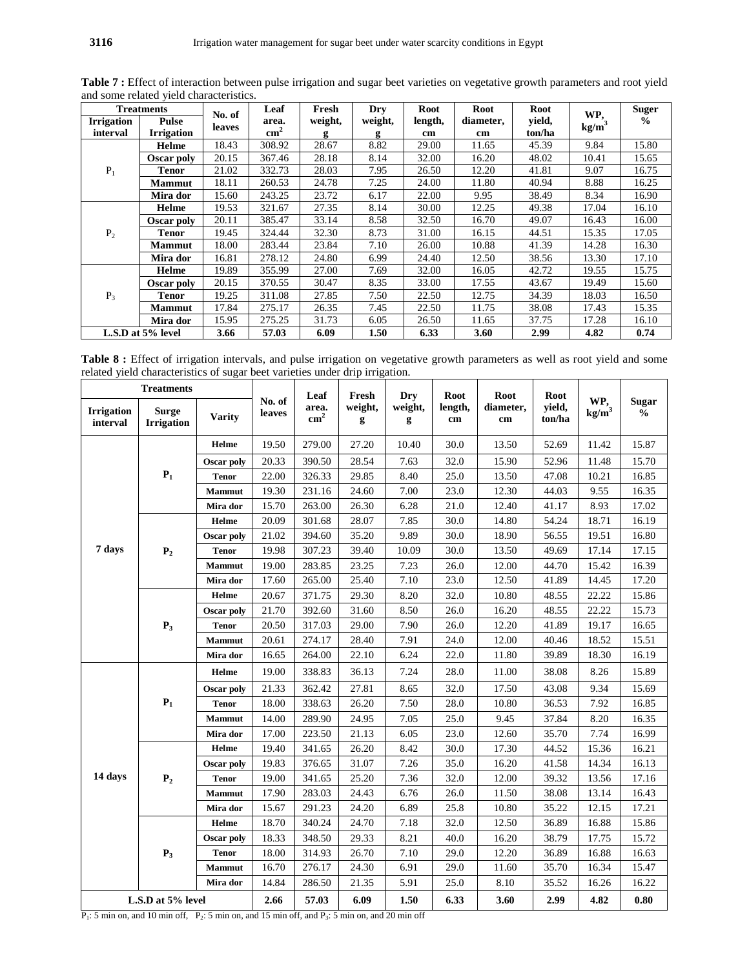|                               | <b>Treatments</b>                 |                  | Leaf                   | Fresh        | Dry          | Root          | Root            | Root             | WP.               | <b>Suger</b>  |
|-------------------------------|-----------------------------------|------------------|------------------------|--------------|--------------|---------------|-----------------|------------------|-------------------|---------------|
| <b>Irrigation</b><br>interval | <b>Pulse</b><br><b>Irrigation</b> | No. of<br>leaves | area.<br>$\text{cm}^2$ | weight,<br>g | weight,<br>g | length,<br>cm | diameter,<br>cm | yield,<br>ton/ha | kg/m <sup>3</sup> | $\frac{0}{0}$ |
|                               | Helme                             | 18.43            | 308.92                 | 28.67        | 8.82         | 29.00         | 11.65           | 45.39            | 9.84              | 15.80         |
|                               | Oscar poly                        | 20.15            | 367.46                 | 28.18        | 8.14         | 32.00         | 16.20           | 48.02            | 10.41             | 15.65         |
| $P_1$                         | Tenor                             | 21.02            | 332.73                 | 28.03        | 7.95         | 26.50         | 12.20           | 41.81            | 9.07              | 16.75         |
|                               | <b>Mammut</b>                     | 18.11            | 260.53                 | 24.78        | 7.25         | 24.00         | 11.80           | 40.94            | 8.88              | 16.25         |
|                               | Mira dor                          | 15.60            | 243.25                 | 23.72        | 6.17         | 22.00         | 9.95            | 38.49            | 8.34              | 16.90         |
|                               | Helme                             | 19.53            | 321.67                 | 27.35        | 8.14         | 30.00         | 12.25           | 49.38            | 17.04             | 16.10         |
|                               | Oscar poly                        | 20.11            | 385.47                 | 33.14        | 8.58         | 32.50         | 16.70           | 49.07            | 16.43             | 16.00         |
| P <sub>2</sub>                | <b>Tenor</b>                      | 19.45            | 324.44                 | 32.30        | 8.73         | 31.00         | 16.15           | 44.51            | 15.35             | 17.05         |
|                               | <b>Mammut</b>                     | 18.00            | 283.44                 | 23.84        | 7.10         | 26.00         | 10.88           | 41.39            | 14.28             | 16.30         |
|                               | Mira dor                          | 16.81            | 278.12                 | 24.80        | 6.99         | 24.40         | 12.50           | 38.56            | 13.30             | 17.10         |
|                               | Helme                             | 19.89            | 355.99                 | 27.00        | 7.69         | 32.00         | 16.05           | 42.72            | 19.55             | 15.75         |
|                               | Oscar poly                        | 20.15            | 370.55                 | 30.47        | 8.35         | 33.00         | 17.55           | 43.67            | 19.49             | 15.60         |
| $P_3$                         | <b>Tenor</b>                      | 19.25            | 311.08                 | 27.85        | 7.50         | 22.50         | 12.75           | 34.39            | 18.03             | 16.50         |
|                               | <b>Mammut</b>                     | 17.84            | 275.17                 | 26.35        | 7.45         | 22.50         | 11.75           | 38.08            | 17.43             | 15.35         |
|                               | Mira dor                          | 15.95            | 275.25                 | 31.73        | 6.05         | 26.50         | 11.65           | 37.75            | 17.28             | 16.10         |

nd root yield

**Table 8 :** Effect of irrigation intervals, and pulse irrigation on vegetative growth parameters as well as root yield and some related yield characteristics of sugar beet varieties under drip irrigation.

**L.S.D at 5% level 3.66 57.03 6.09 1.50 6.33 3.60 2.99 4.82 0.74** 

|                               | <b>Treatments</b>                 |               |                  | Leaf                   | Fresh        | Dry          | Root          | Root            | Root             |                          |                               |
|-------------------------------|-----------------------------------|---------------|------------------|------------------------|--------------|--------------|---------------|-----------------|------------------|--------------------------|-------------------------------|
| <b>Irrigation</b><br>interval | <b>Surge</b><br><b>Irrigation</b> | <b>Varity</b> | No. of<br>leaves | area.<br>$\text{cm}^2$ | weight,<br>g | weight,<br>g | length,<br>cm | diameter,<br>cm | yield,<br>ton/ha | WP,<br>kg/m <sup>3</sup> | <b>Sugar</b><br>$\frac{0}{0}$ |
|                               |                                   | Helme         | 19.50            | 279.00                 | 27.20        | 10.40        | 30.0          | 13.50           | 52.69            | 11.42                    | 15.87                         |
|                               |                                   | Oscar poly    | 20.33            | 390.50                 | 28.54        | 7.63         | 32.0          | 15.90           | 52.96            | 11.48                    | 15.70                         |
|                               | $P_1$                             | <b>Tenor</b>  | 22.00            | 326.33                 | 29.85        | 8.40         | 25.0          | 13.50           | 47.08            | 10.21                    | 16.85                         |
|                               |                                   | <b>Mammut</b> | 19.30            | 231.16                 | 24.60        | 7.00         | 23.0          | 12.30           | 44.03            | 9.55                     | 16.35                         |
|                               |                                   | Mira dor      | 15.70            | 263.00                 | 26.30        | 6.28         | 21.0          | 12.40           | 41.17            | 8.93                     | 17.02                         |
|                               |                                   | Helme         | 20.09            | 301.68                 | 28.07        | 7.85         | 30.0          | 14.80           | 54.24            | 18.71                    | 16.19                         |
|                               |                                   | Oscar poly    | 21.02            | 394.60                 | 35.20        | 9.89         | 30.0          | 18.90           | 56.55            | 19.51                    | 16.80                         |
| 7 days                        | P <sub>2</sub>                    | <b>Tenor</b>  | 19.98            | 307.23                 | 39.40        | 10.09        | 30.0          | 13.50           | 49.69            | 17.14                    | 17.15                         |
|                               |                                   | <b>Mammut</b> | 19.00            | 283.85                 | 23.25        | 7.23         | 26.0          | 12.00           | 44.70            | 15.42                    | 16.39                         |
|                               |                                   | Mira dor      | 17.60            | 265.00                 | 25.40        | 7.10         | 23.0          | 12.50           | 41.89            | 14.45                    | 17.20                         |
|                               | $P_3$                             | Helme         | 20.67            | 371.75                 | 29.30        | 8.20         | 32.0          | 10.80           | 48.55            | 22.22                    | 15.86                         |
|                               |                                   | Oscar poly    | 21.70            | 392.60                 | 31.60        | 8.50         | 26.0          | 16.20           | 48.55            | 22.22                    | 15.73                         |
|                               |                                   | <b>Tenor</b>  | 20.50            | 317.03                 | 29.00        | 7.90         | 26.0          | 12.20           | 41.89            | 19.17                    | 16.65                         |
|                               |                                   | <b>Mammut</b> | 20.61            | 274.17                 | 28.40        | 7.91         | 24.0          | 12.00           | 40.46            | 18.52                    | 15.51                         |
|                               |                                   | Mira dor      | 16.65            | 264.00                 | 22.10        | 6.24         | 22.0          | 11.80           | 39.89            | 18.30                    | 16.19                         |
|                               | $P_1$                             | Helme         | 19.00            | 338.83                 | 36.13        | 7.24         | 28.0          | 11.00           | 38.08            | 8.26                     | 15.89                         |
|                               |                                   | Oscar poly    | 21.33            | 362.42                 | 27.81        | 8.65         | 32.0          | 17.50           | 43.08            | 9.34                     | 15.69                         |
|                               |                                   | <b>Tenor</b>  | 18.00            | 338.63                 | 26.20        | 7.50         | 28.0          | 10.80           | 36.53            | 7.92                     | 16.85                         |
|                               |                                   | <b>Mammut</b> | 14.00            | 289.90                 | 24.95        | 7.05         | 25.0          | 9.45            | 37.84            | 8.20                     | 16.35                         |
|                               |                                   | Mira dor      | 17.00            | 223.50                 | 21.13        | 6.05         | 23.0          | 12.60           | 35.70            | 7.74                     | 16.99                         |
|                               |                                   | Helme         | 19.40            | 341.65                 | 26.20        | 8.42         | 30.0          | 17.30           | 44.52            | 15.36                    | 16.21                         |
|                               |                                   | Oscar poly    | 19.83            | 376.65                 | 31.07        | 7.26         | 35.0          | 16.20           | 41.58            | 14.34                    | 16.13                         |
| 14 days                       | $\mathbf{P}_2$                    | <b>Tenor</b>  | 19.00            | 341.65                 | 25.20        | 7.36         | 32.0          | 12.00           | 39.32            | 13.56                    | 17.16                         |
|                               |                                   | <b>Mammut</b> | 17.90            | 283.03                 | 24.43        | 6.76         | 26.0          | 11.50           | 38.08            | 13.14                    | 16.43                         |
|                               |                                   | Mira dor      | 15.67            | 291.23                 | 24.20        | 6.89         | 25.8          | 10.80           | 35.22            | 12.15                    | 17.21                         |
|                               |                                   | Helme         | 18.70            | 340.24                 | 24.70        | 7.18         | 32.0          | 12.50           | 36.89            | 16.88                    | 15.86                         |
|                               |                                   | Oscar poly    | 18.33            | 348.50                 | 29.33        | 8.21         | 40.0          | 16.20           | 38.79            | 17.75                    | 15.72                         |
|                               | $P_3$                             | <b>Tenor</b>  | 18.00            | 314.93                 | 26.70        | 7.10         | 29.0          | 12.20           | 36.89            | 16.88                    | 16.63                         |
|                               |                                   | <b>Mammut</b> | 16.70            | 276.17                 | 24.30        | 6.91         | 29.0          | 11.60           | 35.70            | 16.34                    | 15.47                         |
|                               |                                   | Mira dor      | 14.84            | 286.50                 | 21.35        | 5.91         | 25.0          | 8.10            | 35.52            | 16.26                    | 16.22                         |
|                               | L.S.D at 5% level                 |               | 2.66             | 57.03                  | 6.09         | 1.50         | 6.33          | 3.60            | 2.99             | 4.82                     | 0.80                          |

 $P_1$ : 5 min on, and 10 min off,  $P_2$ : 5 min on, and 15 min off, and  $P_3$ : 5 min on, and 20 min off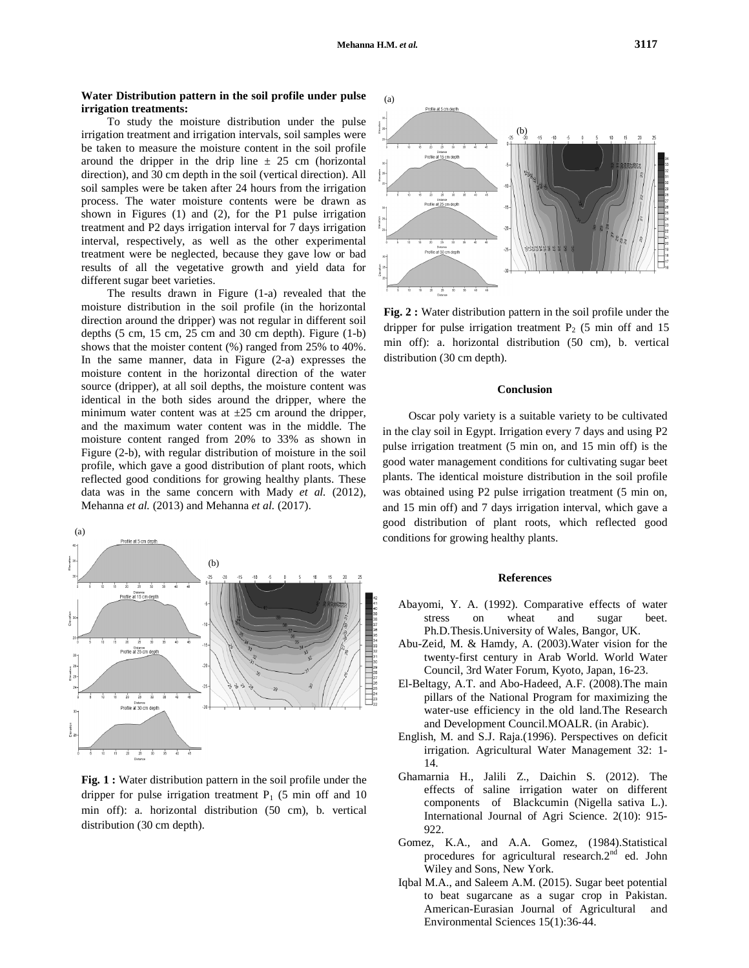### **Water Distribution pattern in the soil profile under pulse irrigation treatments:**

To study the moisture distribution under the pulse irrigation treatment and irrigation intervals, soil samples were be taken to measure the moisture content in the soil profile around the dripper in the drip line  $\pm$  25 cm (horizontal direction), and 30 cm depth in the soil (vertical direction). All soil samples were be taken after 24 hours from the irrigation process. The water moisture contents were be drawn as shown in Figures (1) and (2), for the P1 pulse irrigation treatment and P2 days irrigation interval for 7 days irrigation interval, respectively, as well as the other experimental treatment were be neglected, because they gave low or bad results of all the vegetative growth and yield data for different sugar beet varieties.

The results drawn in Figure (1-a) revealed that the moisture distribution in the soil profile (in the horizontal direction around the dripper) was not regular in different soil depths (5 cm, 15 cm, 25 cm and 30 cm depth). Figure (1-b) shows that the moister content (%) ranged from 25% to 40%. In the same manner, data in Figure (2-a) expresses the moisture content in the horizontal direction of the water source (dripper), at all soil depths, the moisture content was identical in the both sides around the dripper, where the minimum water content was at  $\pm 25$  cm around the dripper, and the maximum water content was in the middle. The moisture content ranged from 20% to 33% as shown in Figure (2-b), with regular distribution of moisture in the soil profile, which gave a good distribution of plant roots, which reflected good conditions for growing healthy plants. These data was in the same concern with Mady *et al.* (2012), Mehanna *et al.* (2013) and Mehanna *et al.* (2017).



**Fig. 1 :** Water distribution pattern in the soil profile under the dripper for pulse irrigation treatment  $P_1$  (5 min off and 10 min off): a. horizontal distribution (50 cm), b. vertical distribution (30 cm depth).



**Fig. 2 :** Water distribution pattern in the soil profile under the dripper for pulse irrigation treatment  $P_2$  (5 min off and 15 min off): a. horizontal distribution (50 cm), b. vertical distribution (30 cm depth).

### **Conclusion**

Oscar poly variety is a suitable variety to be cultivated in the clay soil in Egypt. Irrigation every 7 days and using P2 pulse irrigation treatment (5 min on, and 15 min off) is the good water management conditions for cultivating sugar beet plants. The identical moisture distribution in the soil profile was obtained using P2 pulse irrigation treatment (5 min on, and 15 min off) and 7 days irrigation interval, which gave a good distribution of plant roots, which reflected good conditions for growing healthy plants.

### **References**

- Abayomi, Y. A. (1992). Comparative effects of water stress on wheat and sugar beet. Ph.D.Thesis.University of Wales, Bangor, UK.
- Abu-Zeid, M. & Hamdy, A. (2003).Water vision for the twenty-first century in Arab World. World Water Council, 3rd Water Forum, Kyoto, Japan, 16-23.
- El-Beltagy, A.T. and Abo-Hadeed, A.F. (2008).The main pillars of the National Program for maximizing the water-use efficiency in the old land.The Research and Development Council.MOALR. (in Arabic).
- English, M. and S.J. Raja.(1996). Perspectives on deficit irrigation. Agricultural Water Management 32: 1- 14.
- Ghamarnia H., Jalili Z., Daichin S. (2012). The effects of saline irrigation water on different components of Blackcumin (Nigella sativa L.). International Journal of Agri Science. 2(10): 915- 922.
- Gomez, K.A., and A.A. Gomez, (1984).Statistical procedures for agricultural research.2<sup>nd</sup> ed. John Wiley and Sons, New York.
- Iqbal M.A., and Saleem A.M. (2015). Sugar beet potential to beat sugarcane as a sugar crop in Pakistan. American-Eurasian Journal of Agricultural and Environmental Sciences 15(1):36-44.